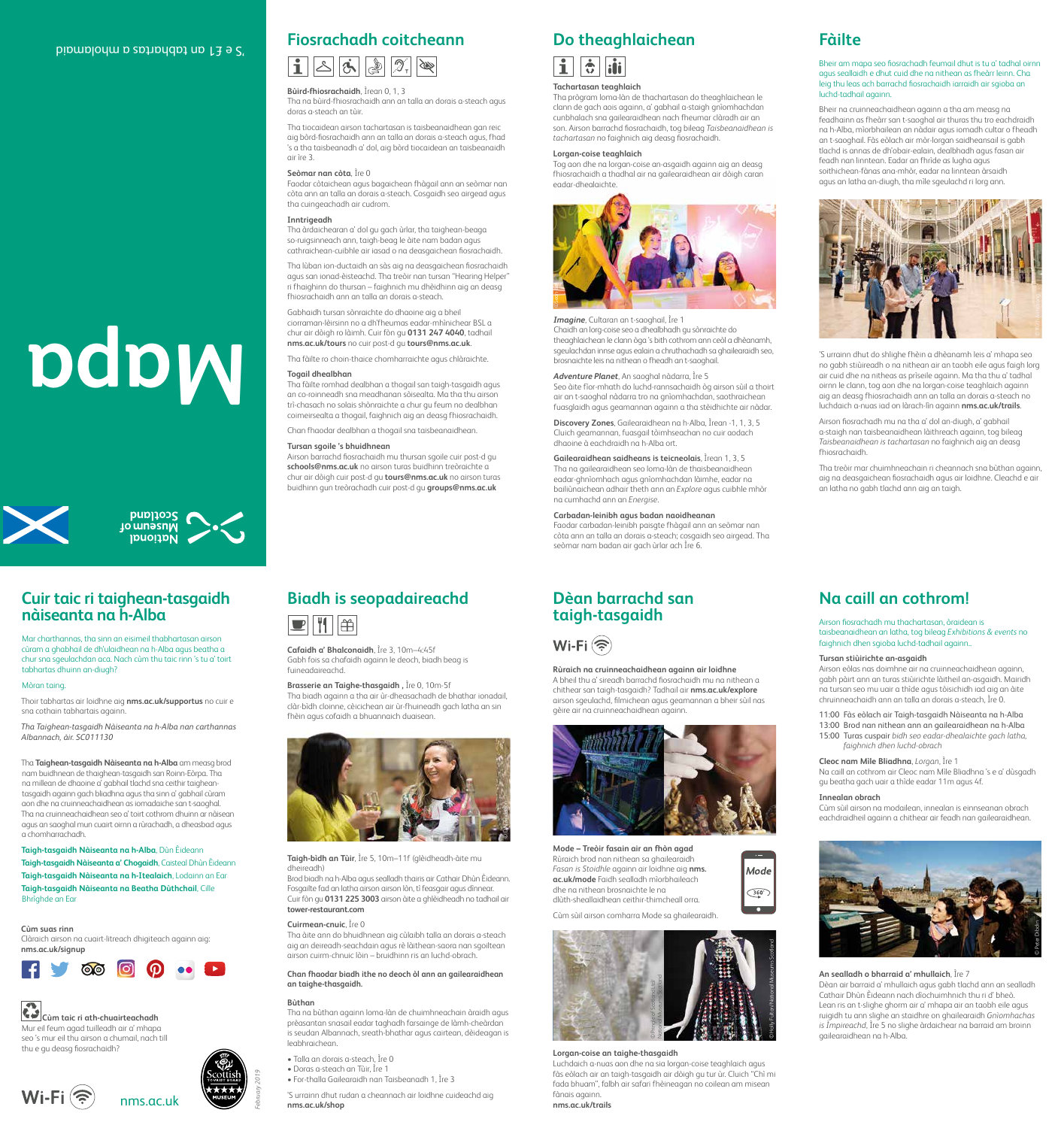





*February 2019*







# **Cùm taic ri ath-chuairteachadh**

Mur eil feum agad tuilleadh air a' mhapa seo 's mur eil thu airson a chumail, nach till thu e gu deasg fiosrachaidh?

# **Cuir taic ri taighean-tasgaidh**

# **nàiseanta na h-Alba**

Mar charthannas, tha sinn an eisimeil thabhartasan airson cùram a ghabhail de dh'ulaidhean na h-Alba agus beatha a chur sna sgeulachdan aca. Nach cùm thu taic rinn 's tu a' toirt tabhartas dhuinn an-diugh?

# Mòran taing.

Thoir tabhartas air loidhne aig **nms.ac.uk/supportus** no cuir e sna cothain tabhartais againn.

*Tha Taighean-tasgaidh Nàiseanta na h-Alba nan carthannas Albannach, àir. SC011130*

# **Fiosrachadh coitcheann**  $\boxed{\mathbf{i}}$   $\boxed{\mathbf{s}}$   $\boxed{\mathbf{s}}$   $\boxed{\mathbf{s}}$   $\boxed{\mathbf{s}}$

Tha **Taighean-tasgaidh Nàiseanta na h-Alba** am measg brod nam buidhnean de thaighean-tasgaidh san Roinn-Eòrpa. Tha na millean de dhaoine a' gabhail tlachd sna ceithir taigheantasgaidh againn gach bliadhna agus tha sinn a' gabhail cùram aon dhe na cruinneachaidhean as iomadaiche san t-saoghal. Tha na cruinneachaidhean seo a' toirt cothrom dhuinn ar nàisean agus an saoghal mun cuairt oirnn a rùrachadh, a dheasbad agus a chomharrachadh.

# **Taigh-tasgaidh Nàiseanta na h-Alba**, Dùn Èideann

**Taigh-tasgaidh Nàiseanta a' Chogaidh**, Caisteal Dhùn Èideann **Taigh-tasgaidh Nàiseanta na h-Itealaich**, Lodainn an Ear **Taigh-tasgaidh Nàiseanta na Beatha Dùthchail**, Cille Bhrìghde an Ear

# **Cùm suas rinn**

Clàraich airson na cuairt-litreach dhigiteach againn aig: **nms.ac.uk/signup**

**Mapa**

# 'S e £1 an tabhartas a mholamaid

# **Bùird-fhiosrachaidh**, Ìrean 0, 1, 3

Tha na bùird-fhiosrachaidh ann an talla an dorais a-steach agus doras a-steach an tùir.

Tha tiocaidean airson tachartasan is taisbeanaidhean gan reic aig bòrd-fiosrachaidh ann an talla an dorais a-steach agus, fhad 's a tha taisbeanadh a' dol, aig bòrd tiocaidean an taisbeanaidh air ìre 3.

### **Seòmar nan còta**, Ìre 0

Faodar còtaichean agus bagaichean fhàgail ann an seòmar nan còta ann an talla an dorais a-steach. Cosgaidh seo airgead agus tha cuingeachadh air cudrom.

### **Inntrigeadh**

Tha àrdaichearan a' dol gu gach ùrlar, tha taighean-beaga so-ruigsinneach ann, taigh-beag le àite nam badan agus cathraichean-cuibhle air iasad o na deasgaichean fiosrachaidh.

Tha lùban ion-ductaidh an sàs aig na deasgaichean fiosrachaidh agus san ionad-èisteachd. Tha treòir nan tursan "Hearing Helper" ri fhaighinn do thursan – faighnich mu dhèidhinn aig an deasg fhiosrachaidh ann an talla an dorais a-steach.

Gabhaidh tursan sònraichte do dhaoine aig a bheil ciorraman-lèirsinn no a dh'fheumas eadar-mhìnichear BSL a chur air dòigh ro làimh. Cuir fòn gu **0131 247 4040**, tadhail **nms.ac.uk/tours** no cuir post-d gu **tours@nms.ac.uk**.

Tha fàilte ro choin-thaice chomharraichte agus chlàraichte.

# **Togail dhealbhan**

Tha fàilte romhad dealbhan a thogail san taigh-tasgaidh agus an co-roinneadh sna meadhanan sòisealta. Ma tha thu airson trì-chasach no solais shònraichte a chur gu feum no dealbhan coimeirsealta a thogail, faighnich aig an deasg fhiosrachaidh.

Chan fhaodar dealbhan a thogail sna taisbeanaidhean.

### **Tursan sgoile 's bhuidhnean**

Airson barrachd fiosrachaidh mu thursan sgoile cuir post-d gu **schools@nms.ac.uk** no airson turas buidhinn treòraichte a chur air dòigh cuir post-d gu **tours@nms.ac.uk** no airson turas buidhinn gun treòrachadh cuir post-d gu **groups@nms.ac.uk**



# $\overline{\mathbf{1}}$  $\boxed{\dot{\mathbf{c}}}$   $\boxed{\dot{\mathbf{u}}}$

# **Tachartasan teaghlaich**

Tha prògram loma-làn de thachartasan do theaghlaichean le clann de gach aois againn, a' gabhail a-staigh gnìomhachdan cunbhalach sna gailearaidhean nach fheumar clàradh air an son. Airson barrachd fiosrachaidh, tog bileag *Taisbeanaidhean is tachartasan* no faighnich aig deasg fiosrachaidh.

### **Lorgan-coise teaghlaich**

Tog aon dhe na lorgan-coise an-asgaidh againn aig an deasg fhiosrachaidh a thadhal air na gailearaidhean air dòigh caran eadar-dhealaichte.

# **Fàilte**

Bheir am mapa seo fiosrachadh feumail dhut is tu a' tadhal oirnn agus seallaidh e dhut cuid dhe na nithean as fheàrr leinn. Cha leig thu leas ach barrachd fiosrachaidh iarraidh air sgioba an luchd-tadhail againn.

Bheir na cruinneachaidhean againn a tha am measg na feadhainn as fheàrr san t-saoghal air thuras thu tro eachdraidh na h-Alba, mìorbhailean an nàdair agus iomadh cultar o fheadh an t-saoghail. Fàs eòlach air mòr-lorgan saidheansail is gabh tlachd is annas de dh'obair-ealain, dealbhadh agus fasan air feadh nan linntean. Eadar an fhrìde as lugha agus soithichean-fànas ana-mhòr, eadar na linntean àrsaidh agus an latha an-diugh, tha mìle sgeulachd ri lorg ann.



'S urrainn dhut do shlighe fhèin a dhèanamh leis a' mhapa seo no gabh stiùireadh o na nithean air an taobh eile agus faigh lorg air cuid dhe na nitheas as prìseile againn. Ma tha thu a' tadhal oirnn le clann, tog aon dhe na lorgan-coise teaghlaich againn aig an deasg fhiosrachaidh ann an talla an dorais a-steach no luchdaich a-nuas iad on làrach-lìn againn **nms.ac.uk/trails**.

Airson fiosrachadh mu na tha a' dol an-diugh, a' gabhail a-staigh nan taisbeanaidhean làithreach againn, tog bileag *Taisbeanaidhean is tachartasan* no faighnich aig an deasg fhiosrachaidh.

Tha treòir mar chuimhneachain ri cheannach sna bùthan againn, aig na deasgaichean fiosrachaidh agus air loidhne. Cleachd e air an latha no gabh tlachd ann aig an taigh.

*Imagine*, Cultaran an t-saoghail, Ìre 1 Chaidh an lorg-coise seo a dhealbhadh gu sònraichte do theaghlaichean le clann òga 's bith cothrom ann ceòl a dhèanamh, sgeulachdan innse agus ealain a chruthachadh sa ghailearaidh seo, brosnaichte leis na nithean o fheadh an t-saoghail.

# *Adventure Planet*, An saoghal nàdarra, Ìre 5

Seo àite fìor-mhath do luchd-rannsachaidh òg airson sùil a thoirt air an t-saoghal nàdarra tro na gnìomhachdan, saothraichean fuasglaidh agus geamannan againn a tha stèidhichte air nàdar.

**Discovery Zones**, Gailearaidhean na h-Alba, Ìrean -1, 1, 3, 5 Cluich geamannan, fuasgail tòimhseachan no cuir aodach dhaoine à eachdraidh na h-Alba ort.

# **Gailearaidhean saidheans is teicneolais**, Ìrean 1, 3, 5

Tha na gailearaidhean seo loma-làn de thaisbeanaidhean eadar-ghnìomhach agus gnìomhachdan làimhe, eadar na bailiùnaichean adhair theth ann an *Explore* agus cuibhle mhòr na cumhachd ann an *Energise*.

# **Carbadan-leinibh agus badan naoidheanan**

Faodar carbadan-leinibh paisgte fhàgail ann an seòmar nan còta ann an talla an dorais a-steach; cosgaidh seo airgead. Tha seòmar nam badan air gach ùrlar ach Ìre 6.

# **Biadh is seopadaireachd**



**Cafaidh a' Bhalconaidh**, Ìre 3, 10m–4:45f Gabh fois sa chafaidh againn le deoch, biadh beag is fuineadaireachd.

**Brasserie an Taighe-thasgaidh ,** Ìre 0, 10m-5f Tha biadh againn a tha air ùr-dheasachadh de bhathar ionadail, clàr-bìdh cloinne, cèicichean air ùr-fhuineadh gach latha an sin fhèin agus cofaidh a bhuannaich duaisean.

# **Dèan barrachd san taigh-tasgaidh**



**Rùraich na cruinneachaidhean againn air loidhne** A bheil thu a' sireadh barrachd fiosrachaidh mu na nithean a chithear san taigh-tasgaidh? Tadhail air **nms.ac.uk/explore** airson sgeulachd, filmichean agus geamannan a bheir sùil nas gèire air na cruinneachaidhean againn.



# **Na caill an cothrom!**

Airson fiosrachadh mu thachartasan, òraidean is taisbeanaidhean an latha, tog bileag *Exhibitions & events* no faighnich dhen sgioba luchd-tadhail againn..

# **Tursan stiùirichte an-asgaidh**

Airson eòlas nas doimhne air na cruinneachaidhean againn, gabh pàirt ann an turas stiùirichte làitheil an-asgaidh. Mairidh na tursan seo mu uair a thìde agus tòisichidh iad aig an àite chruinneachaidh ann an talla an dorais a-steach, Ìre 0.

11:00 Fàs eòlach air Taigh-tasgaidh Nàiseanta na h-Alba 13:00 Brod nan nithean ann an gailearaidhean na h-Alba 15:00 Turas cuspair *bidh seo eadar-dhealaichte gach latha,* 

*faighnich dhen luchd-obrach*

**Cleoc nam Mìle Bliadhna**, *Lorgan*, Ìre 1 Na caill an cothrom air Cleoc nam Mìle Bliadhna 's e a' dùsgadh gu beatha gach uair a thìde eadar 11m agus 4f.

# **Innealan obrach**

Mode

 $\overline{\left(360^\circ\right)}$  $\bullet$ 

Cùm sùil airson na modailean, innealan is einnseanan obrach eachdraidheil againn a chithear air feadh nan gailearaidhean.

**Taigh-bìdh an Tùir**, Ìre 5, 10m–11f (glèidheadh-àite mu dheireadh)

Brod biadh na h-Alba agus sealladh thairis air Cathair Dhùn Èideann. Fosgailte fad an latha airson airson lòn, tì feasgair agus dìnnear. Cuir fòn gu **0131 225 3003** airson àite a ghlèidheadh no tadhail air **tower-restaurant.com**

# **Cuirmean-cnuic**, Ìre 0

Tha àite ann do bhuidhnean aig cùlaibh talla an dorais a-steach aig an deireadh-seachdain agus rè làithean-saora nan sgoiltean airson cuirm-chnuic lòin – bruidhinn ris an luchd-obrach.

**Chan fhaodar biadh ithe no deoch òl ann an gailearaidhean an taighe-thasgaidh.**

# **Bùthan**

Tha na bùthan againn loma-làn de chuimhneachain àraidh agus prèasantan snasail eadar taghadh farsainge de làmh-cheàrdan is seudan Albannach, sreath-bhathar agus cairtean, dèideagan is leabhraichean.

- Talla an dorais a-steach, Ìre 0
- Doras a-steach an Tùir, Ìre 1
- For-thalla Gailearaidh nan Taisbeanadh 1, Ìre 3

'S urrainn dhut rudan a cheannach air loidhne cuideachd aig **nms.ac.uk/shop**

**An sealladh o bharraid a' mhullaich**, Ìre 7 Dèan air barraid a' mhullaich agus gabh tlachd ann an sealladh Cathair Dhùn Èideann nach dìochuimhnich thu ri d' bheò. Lean ris an t-slighe ghorm air a' mhapa air an taobh eile agus ruigidh tu ann slighe an staidhre on ghailearaidh *Gnìomhachas is Ìmpireachd*, Ìre 5 no slighe àrdaichear na barraid am broinn gailearaidhean na h-Alba.

**Mode – Treòir fasain air an fhòn agad** 



Rùraich brod nan nithean sa ghailearaidh *Fasan is Stoidhle* againn air loidhne aig **nms. ac.uk/mode** Faidh sealladh mìorbhaileach dhe na nithean brosnaichte le na dlùth-sheallaidhean ceithir-thimcheall orra.

Cùm sùil airson comharra Mode sa ghailearaidh.

# **Lorgan-coise an taighe-thasgaidh**

Luchdaich a-nuas aon dhe na sia lorgan-coise teaghlaich agus fàs eòlach air an taigh-tasgaidh air dòigh gu tur ùr. Cluich "Chì mi fada bhuam", falbh air safari fhèineagan no coilean am misean fànais againn. **nms.ac.uk/trails**